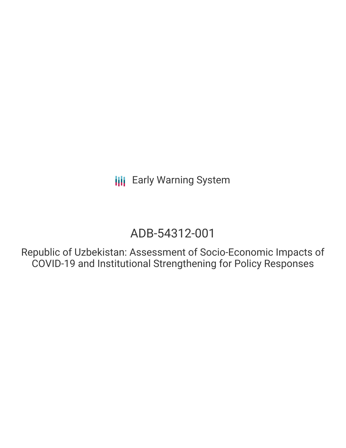# ADB-54312-001

Republic of Uzbekistan: Assessment of Socio-Economic Impacts of COVID-19 and Institutional Strengthening for Policy Responses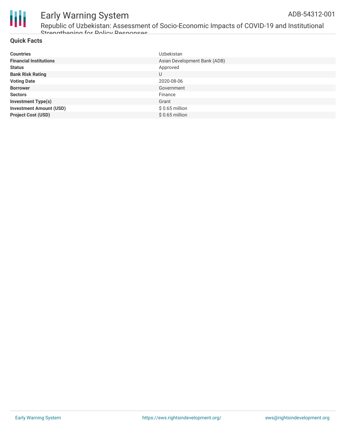

Republic of Uzbekistan: Assessment of Socio-Economic Impacts of COVID-19 and Institutional Strangthening for Dolicy Decnances

#### **Quick Facts**

| <b>Countries</b>               | Uzbekistan                   |
|--------------------------------|------------------------------|
| <b>Financial Institutions</b>  | Asian Development Bank (ADB) |
| <b>Status</b>                  | Approved                     |
| <b>Bank Risk Rating</b>        | U                            |
| <b>Voting Date</b>             | 2020-08-06                   |
| <b>Borrower</b>                | Government                   |
| <b>Sectors</b>                 | Finance                      |
| <b>Investment Type(s)</b>      | Grant                        |
| <b>Investment Amount (USD)</b> | $$0.65$ million              |
| <b>Project Cost (USD)</b>      | $$0.65$ million              |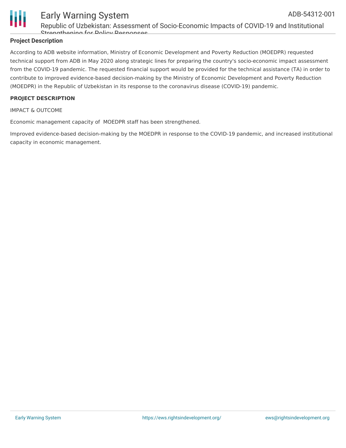

Republic of Uzbekistan: Assessment of Socio-Economic Impacts of COVID-19 and Institutional Strengthening for Policy Responses

#### **Project Description**

According to ADB website information, Ministry of Economic Development and Poverty Reduction (MOEDPR) requested technical support from ADB in May 2020 along strategic lines for preparing the country's socio-economic impact assessment from the COVID-19 pandemic. The requested financial support would be provided for the technical assistance (TA) in order to contribute to improved evidence-based decision-making by the Ministry of Economic Development and Poverty Reduction (MOEDPR) in the Republic of Uzbekistan in its response to the coronavirus disease (COVID-19) pandemic.

#### **PROJECT DESCRIPTION**

IMPACT & OUTCOME

Economic management capacity of MOEDPR staff has been strengthened.

Improved evidence-based decision-making by the MOEDPR in response to the COVID-19 pandemic, and increased institutional capacity in economic management.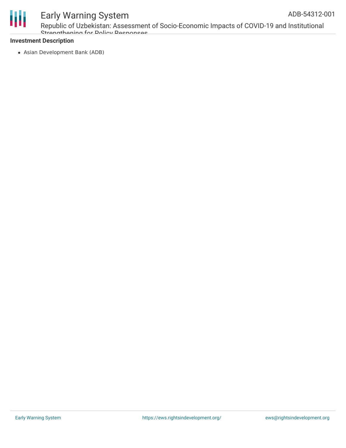

Republic of Uzbekistan: Assessment of Socio-Economic Impacts of COVID-19 and Institutional Strangthaning for Dolicy Decnances

#### **Investment Description**

Asian Development Bank (ADB)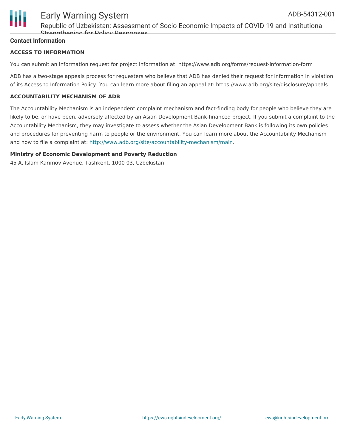

Republic of Uzbekistan: Assessment of Socio-Economic Impacts of COVID-19 and Institutional Strengthening for Policy Responses

#### **Contact Information**

#### **ACCESS TO INFORMATION**

You can submit an information request for project information at: https://www.adb.org/forms/request-information-form

ADB has a two-stage appeals process for requesters who believe that ADB has denied their request for information in violation of its Access to Information Policy. You can learn more about filing an appeal at: https://www.adb.org/site/disclosure/appeals

#### **ACCOUNTABILITY MECHANISM OF ADB**

The Accountability Mechanism is an independent complaint mechanism and fact-finding body for people who believe they are likely to be, or have been, adversely affected by an Asian Development Bank-financed project. If you submit a complaint to the Accountability Mechanism, they may investigate to assess whether the Asian Development Bank is following its own policies and procedures for preventing harm to people or the environment. You can learn more about the Accountability Mechanism and how to file a complaint at: <http://www.adb.org/site/accountability-mechanism/main>.

#### **Ministry of Economic Development and Poverty Reduction**

45 A, Islam Karimov Avenue, Tashkent, 1000 03, Uzbekistan